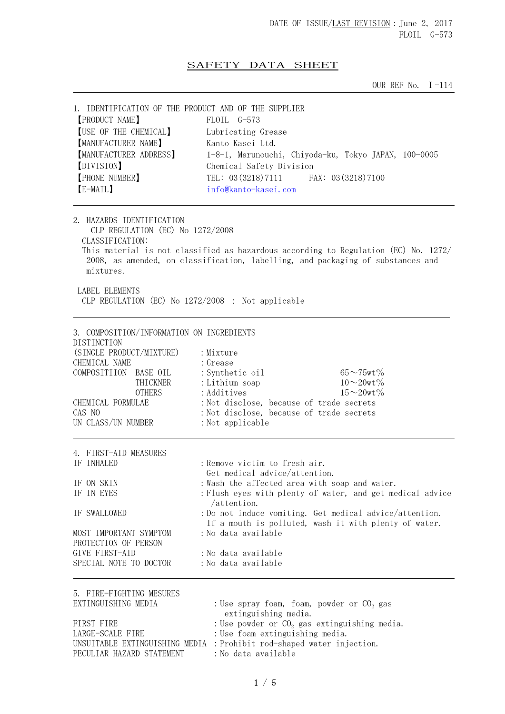## SAFETY DATA SHEET

OUR REF No. Ⅰ-114

| 1. IDENTIFICATION OF THE PRODUCT AND OF THE SUPPLIER<br><b>[PRODUCT NAME]</b><br>[USE OF THE CHEMICAL]<br>[MANUFACTURER NAME]<br>MANUFACTURER ADDRESS]<br>[DIVISION]<br><b>[PHONE NUMBER]</b><br>[E-MAIL]                                                                                                                                             | FLOIL G-573<br>Lubricating Grease<br>Kanto Kasei Ltd.<br>1-8-1, Marunouchi, Chiyoda-ku, Tokyo JAPAN, 100-0005<br>Chemical Safety Division<br>TEL: 03 (3218) 7111 FAX: 03 (3218) 7100<br>info@kanto-kasei.com                                                                                                                                                                       |  |
|-------------------------------------------------------------------------------------------------------------------------------------------------------------------------------------------------------------------------------------------------------------------------------------------------------------------------------------------------------|------------------------------------------------------------------------------------------------------------------------------------------------------------------------------------------------------------------------------------------------------------------------------------------------------------------------------------------------------------------------------------|--|
| 2. HAZARDS IDENTIFICATION<br>CLP REGULATION (EC) No 1272/2008<br>CLASSIFICATION:<br>This material is not classified as hazardous according to Regulation (EC) No. 1272/<br>2008, as amended, on classification, labelling, and packaging of substances and<br>mixtures.<br><b>LABEL ELEMENTS</b><br>CLP REGULATION (EC) No 1272/2008 : Not applicable |                                                                                                                                                                                                                                                                                                                                                                                    |  |
| 3. COMPOSITION/INFORMATION ON INGREDIENTS<br>DISTINCTION<br>(SINGLE PRODUCT/MIXTURE)<br>CHEMICAL NAME<br>COMPOSITIION BASE OIL<br>THICKNER<br><b>OTHERS</b><br>CHEMICAL FORMULAE<br>CAS NO<br>UN CLASS/UN NUMBER                                                                                                                                      | : Mixture<br>: Grease<br>: Synthetic oil<br>$65 \sim 75$ wt $\%$<br>$10\sim 20$ wt $\%$<br>: Lithium soap<br>$15 - 20wt%$<br>: Additives<br>: Not disclose, because of trade secrets<br>: Not disclose, because of trade secrets<br>: Not applicable                                                                                                                               |  |
| 4. FIRST-AID MEASURES<br>IF INHALED<br>IF ON SKIN<br>IF IN EYES<br>IF SWALLOWED<br>MOST IMPORTANT SYMPTOM<br>PROTECTION OF PERSON<br>GIVE FIRST-AID<br>SPECIAL NOTE TO DOCTOR                                                                                                                                                                         | : Remove victim to fresh air.<br>Get medical advice/attention.<br>: Wash the affected area with soap and water.<br>: Flush eyes with plenty of water, and get medical advice<br>/attention.<br>: Do not induce vomiting. Get medical advice/attention.<br>If a mouth is polluted, wash it with plenty of water.<br>:No data available<br>:No data available<br>: No data available |  |
| 5. FIRE-FIGHTING MESURES<br>EXTINGUISHING MEDIA<br>FIRST FIRE<br>LARGE-SCALE FIRE                                                                                                                                                                                                                                                                     | : Use spray foam, foam, powder or CO <sub>2</sub> gas<br>extinguishing media.<br>: Use powder or $CO2$ gas extinguishing media.<br>: Use foam extinguishing media.<br>UNSUITABLE EXTINGUISHING MEDIA : Prohibit rod-shaped water injection.                                                                                                                                        |  |

PECULIAR HAZARD STATEMENT : No data available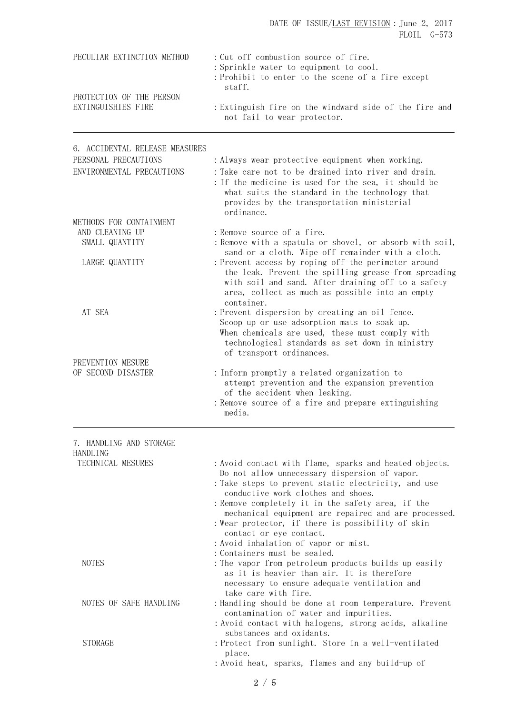| PECULIAR EXTINCTION METHOD                             | : Cut off combustion source of fire.<br>: Sprinkle water to equipment to cool.<br>: Prohibit to enter to the scene of a fire except                                                                                                                                                                                                                                                                                                                                       |
|--------------------------------------------------------|---------------------------------------------------------------------------------------------------------------------------------------------------------------------------------------------------------------------------------------------------------------------------------------------------------------------------------------------------------------------------------------------------------------------------------------------------------------------------|
| PROTECTION OF THE PERSON<br>EXTINGUISHIES FIRE         | staff.<br>: Extinguish fire on the windward side of the fire and<br>not fail to wear protector.                                                                                                                                                                                                                                                                                                                                                                           |
| 6. ACCIDENTAL RELEASE MEASURES<br>PERSONAL PRECAUTIONS | : Always wear protective equipment when working.                                                                                                                                                                                                                                                                                                                                                                                                                          |
| ENVIRONMENTAL PRECAUTIONS                              | : Take care not to be drained into river and drain.<br>: If the medicine is used for the sea, it should be<br>what suits the standard in the technology that<br>provides by the transportation ministerial<br>ordinance.                                                                                                                                                                                                                                                  |
| METHODS FOR CONTAINMENT                                |                                                                                                                                                                                                                                                                                                                                                                                                                                                                           |
| AND CLEANING UP<br>SMALL QUANTITY                      | : Remove source of a fire.<br>: Remove with a spatula or shovel, or absorb with soil,<br>sand or a cloth. Wipe off remainder with a cloth.                                                                                                                                                                                                                                                                                                                                |
| LARGE QUANTITY                                         | : Prevent access by roping off the perimeter around<br>the leak. Prevent the spilling grease from spreading<br>with soil and sand. After draining off to a safety<br>area, collect as much as possible into an empty<br>container.                                                                                                                                                                                                                                        |
| AT SEA                                                 | : Prevent dispersion by creating an oil fence.<br>Scoop up or use adsorption mats to soak up.<br>When chemicals are used, these must comply with<br>technological standards as set down in ministry<br>of transport ordinances.                                                                                                                                                                                                                                           |
| PREVENTION MESURE<br>OF SECOND DISASTER                | : Inform promptly a related organization to<br>attempt prevention and the expansion prevention<br>of the accident when leaking.<br>: Remove source of a fire and prepare extinguishing<br>media.                                                                                                                                                                                                                                                                          |
| 7. HANDLING AND STORAGE                                |                                                                                                                                                                                                                                                                                                                                                                                                                                                                           |
| <b>HANDLING</b><br>TECHNICAL MESURES                   | : Avoid contact with flame, sparks and heated objects.<br>Do not allow unnecessary dispersion of vapor.<br>: Take steps to prevent static electricity, and use<br>conductive work clothes and shoes.<br>: Remove completely it in the safety area, if the<br>mechanical equipment are repaired and are processed.<br>: Wear protector, if there is possibility of skin<br>contact or eye contact.<br>: Avoid inhalation of vapor or mist.<br>: Containers must be sealed. |
| <b>NOTES</b>                                           | : The vapor from petroleum products builds up easily<br>as it is heavier than air. It is therefore<br>necessary to ensure adequate ventilation and                                                                                                                                                                                                                                                                                                                        |
| NOTES OF SAFE HANDLING                                 | take care with fire.<br>: Handling should be done at room temperature. Prevent<br>contamination of water and impurities.<br>: Avoid contact with halogens, strong acids, alkaline<br>substances and oxidants.                                                                                                                                                                                                                                                             |
| <b>STORAGE</b>                                         | : Protect from sunlight. Store in a well-ventilated<br>place.<br>: Avoid heat, sparks, flames and any build-up of                                                                                                                                                                                                                                                                                                                                                         |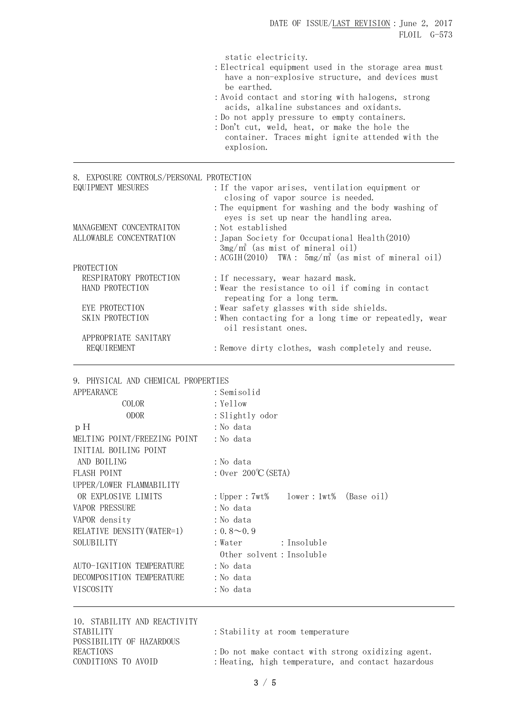| : Do not apply pressure to empty containers.<br>: Don't cut, weld, heat, or make the hole the | : Avoid contact and storing with halogens, strong |
|-----------------------------------------------------------------------------------------------|---------------------------------------------------|
|                                                                                               |                                                   |
| acids, alkaline substances and oxidants.                                                      |                                                   |

| 8. EXPOSURE CONTROLS/PERSONAL PROTECTION |                                                                                                                    |
|------------------------------------------|--------------------------------------------------------------------------------------------------------------------|
| EQUIPMENT MESURES                        | : If the vapor arises, ventilation equipment or<br>closing of vapor source is needed.                              |
| MANAGEMENT CONCENTRAITON                 | : The equipment for washing and the body washing of<br>eyes is set up near the handling area.<br>: Not established |
| ALLOWABLE CONCENTRATION                  | : Japan Society for Occupational Health(2010)                                                                      |
|                                          | $3mg/m^3$ (as mist of mineral oil)                                                                                 |
|                                          | : ACGIH $(2010)$ TWA: $5mg/m^3$ (as mist of mineral oil)                                                           |
| PROTECTION                               |                                                                                                                    |
| RESPIRATORY PROTECTION                   | : If necessary, wear hazard mask.                                                                                  |
| HAND PROTECTION                          | : Wear the resistance to oil if coming in contact<br>repeating for a long term.                                    |
| EYE PROTECTION                           | : Wear safety glasses with side shields.                                                                           |
| SKIN PROTECTION                          | : When contacting for a long time or repeatedly, wear<br>oil resistant ones.                                       |
| APPROPRIATE SANITARY                     |                                                                                                                    |
| REQUIREMENT                              | : Remove dirty clothes, wash completely and reuse.                                                                 |

## 9. PHYSICAL AND CHEMICAL PROPERTIES

| APPEARANCE                   | : Semisolid                                |
|------------------------------|--------------------------------------------|
| COLOR                        | : Yellow                                   |
| <b>ODOR</b>                  | : Slightly odor                            |
| pН                           | : No data                                  |
| MELTING POINT/FREEZING POINT | : No data                                  |
| INITIAL BOILING POINT        |                                            |
| AND BOILING                  | : No data                                  |
| <b>FLASH POINT</b>           | : $0ver 200^{\circ}C(SETA)$                |
| UPPER/LOWER FLAMMABILITY     |                                            |
| OR EXPLOSIVE LIMITS          | : Upper : $7wt\$ lower : $1wt\$ (Base oil) |
| <b>VAPOR PRESSURE</b>        | : No data                                  |
| VAPOR density                | : No data                                  |
| RELATIVE DENSITY (WATER=1)   | $: 0.8 \sim 0.9$                           |
| SOLUBILITY                   | : Insoluble<br>: Water                     |
|                              | Other solvent: Insoluble                   |
| AUTO-IGNITION TEMPERATURE    | : No data                                  |
| DECOMPOSITION TEMPERATURE    | :No data                                   |
| <b>VISCOSITY</b>             | : No data                                  |
|                              |                                            |

10. STABILITY AND REACTIVITY STABILITY : Stability at room temperature POSSIBILITY OF HAZARDOUS

REACTIONS : Do not make contact with strong oxidizing agent.

CONDITIONS TO AVOID : Heating, high temperature, and contact hazardous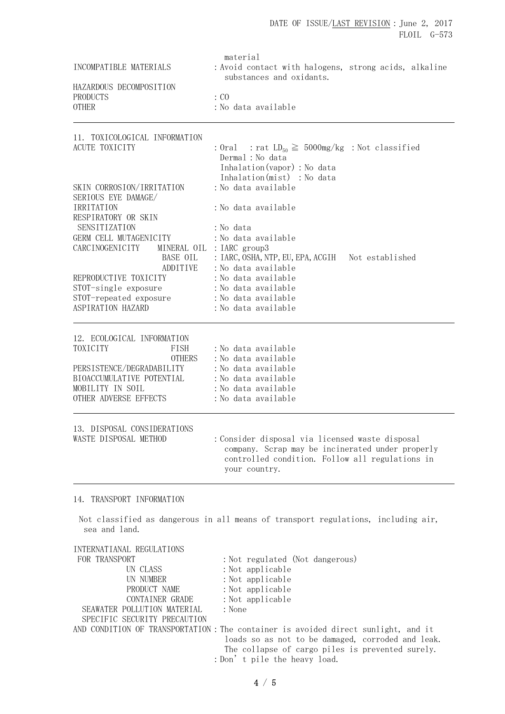| INCOMPATIBLE MATERIALS                                                                                                                                                 | material<br>: Avoid contact with halogens, strong acids, alkaline                                                                                                       |  |
|------------------------------------------------------------------------------------------------------------------------------------------------------------------------|-------------------------------------------------------------------------------------------------------------------------------------------------------------------------|--|
| HAZARDOUS DECOMPOSITION<br>PRODUCTS<br><b>OTHER</b>                                                                                                                    | substances and oxidants.<br>$\colon$ CO<br>: No data available                                                                                                          |  |
| 11. TOXICOLOGICAL INFORMATION<br><b>ACUTE TOXICITY</b>                                                                                                                 | : Oral : rat $LD_{50} \ge 5000$ mg/kg : Not classified<br>Dermal : No data<br>Inhalation (vapor) : No data<br>Inhalation(mist) : No data                                |  |
| SKIN CORROSION/IRRITATION<br>SERIOUS EYE DAMAGE/<br>IRRITATION<br>RESPIRATORY OR SKIN<br>SENSITIZATION<br>GERM CELL MUTAGENICITY                                       | : No data available<br>:No data available<br>: No data<br>: No data available                                                                                           |  |
| CARCINOGENICITY                                                                                                                                                        | MINERAL OIL : IARC group3<br>BASE OIL : IARC, OSHA, NTP, EU, EPA, ACGIH Not established<br>ADDITIVE : No data available<br>: No data available                          |  |
| REPRODUCTIVE TOXICITY<br>STOT-single exposure<br>STOT-repeated exposure : No data available<br>ASPIRATION HAZARD                                                       | : No data available<br>: No data available                                                                                                                              |  |
| 12. ECOLOGICAL INFORMATION<br>TOXICITY<br>FISH<br><b>OTHERS</b><br>PERSISTENCE/DEGRADABILITY<br>BIOACCUMULATIVE POTENTIAL<br>MOBILITY IN SOIL<br>OTHER ADVERSE EFFECTS | : No data available<br>: No data available<br>: No data available<br>: No data available<br>: No data available<br>: No data available                                  |  |
| 13. DISPOSAL CONSIDERATIONS<br>WASTE DISPOSAL METHOD                                                                                                                   | : Consider disposal via licensed waste disposal<br>company. Scrap may be incinerated under properly<br>controlled condition. Follow all regulations in<br>your country. |  |
| 14. TRANSPORT INFORMATION                                                                                                                                              |                                                                                                                                                                         |  |
| sea and land.                                                                                                                                                          | Not classified as dangerous in all means of transport regulations, including air,                                                                                       |  |
| INTERNATIANAL REGULATIONS<br>FOR TRANSPORT<br>UN CLASS<br>UN NUMBER<br>PRODUCT NAME<br>CONTAINER GRADE<br>SEAWATER POLLUTION MATERIAL<br>SPECIFIC SECURITY PRECAUTION  | : Not regulated (Not dangerous)<br>: Not applicable<br>: Not applicable<br>: Not applicable<br>: Not applicable<br>: None                                               |  |

AND CONDITION OF TRANSPORTATION: The container is avoided direct sunlight, and it loads so as not to be damaged, corroded and leak. The collapse of cargo piles is prevented surely. :Don't pile the heavy load.